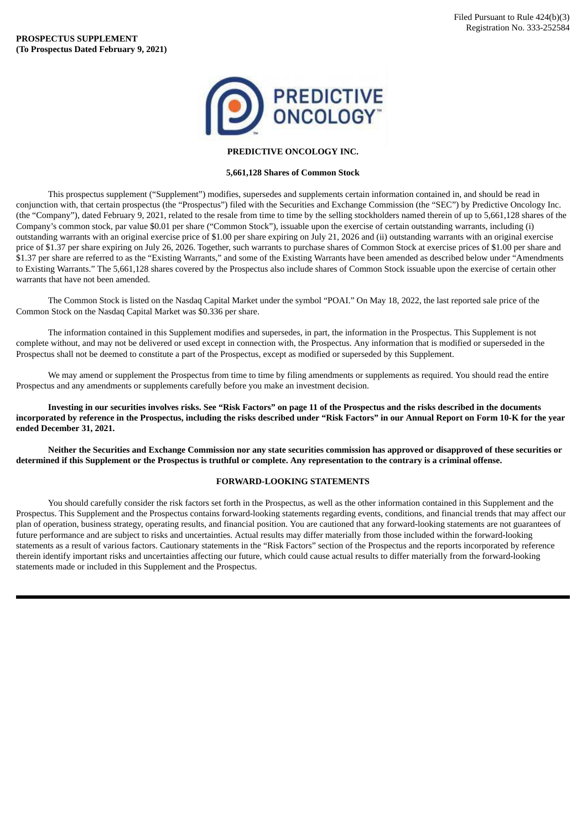

## **PREDICTIVE ONCOLOGY INC.**

## **5,661,128 Shares of Common Stock**

This prospectus supplement ("Supplement") modifies, supersedes and supplements certain information contained in, and should be read in conjunction with, that certain prospectus (the "Prospectus") filed with the Securities and Exchange Commission (the "SEC") by Predictive Oncology Inc. (the "Company"), dated February 9, 2021, related to the resale from time to time by the selling stockholders named therein of up to 5,661,128 shares of the Company's common stock, par value \$0.01 per share ("Common Stock"), issuable upon the exercise of certain outstanding warrants, including (i) outstanding warrants with an original exercise price of \$1.00 per share expiring on July 21, 2026 and (ii) outstanding warrants with an original exercise price of \$1.37 per share expiring on July 26, 2026. Together, such warrants to purchase shares of Common Stock at exercise prices of \$1.00 per share and \$1.37 per share are referred to as the "Existing Warrants," and some of the Existing Warrants have been amended as described below under "Amendments to Existing Warrants." The 5,661,128 shares covered by the Prospectus also include shares of Common Stock issuable upon the exercise of certain other warrants that have not been amended.

The Common Stock is listed on the Nasdaq Capital Market under the symbol "POAI." On May 18, 2022, the last reported sale price of the Common Stock on the Nasdaq Capital Market was \$0.336 per share.

The information contained in this Supplement modifies and supersedes, in part, the information in the Prospectus. This Supplement is not complete without, and may not be delivered or used except in connection with, the Prospectus. Any information that is modified or superseded in the Prospectus shall not be deemed to constitute a part of the Prospectus, except as modified or superseded by this Supplement.

We may amend or supplement the Prospectus from time to time by filing amendments or supplements as required. You should read the entire Prospectus and any amendments or supplements carefully before you make an investment decision.

Investing in our securities involves risks. See "Risk Factors" on page 11 of the Prospectus and the risks described in the documents incorporated by reference in the Prospectus, including the risks described under "Risk Factors" in our Annual Report on Form 10-K for the year **ended December 31, 2021.**

Neither the Securities and Exchange Commission nor any state securities commission has approved or disapproved of these securities or determined if this Supplement or the Prospectus is truthful or complete. Any representation to the contrary is a criminal offense.

## **FORWARD-LOOKING STATEMENTS**

You should carefully consider the risk factors set forth in the Prospectus, as well as the other information contained in this Supplement and the Prospectus. This Supplement and the Prospectus contains forward-looking statements regarding events, conditions, and financial trends that may affect our plan of operation, business strategy, operating results, and financial position. You are cautioned that any forward-looking statements are not guarantees of future performance and are subject to risks and uncertainties. Actual results may differ materially from those included within the forward-looking statements as a result of various factors. Cautionary statements in the "Risk Factors" section of the Prospectus and the reports incorporated by reference therein identify important risks and uncertainties affecting our future, which could cause actual results to differ materially from the forward-looking statements made or included in this Supplement and the Prospectus.